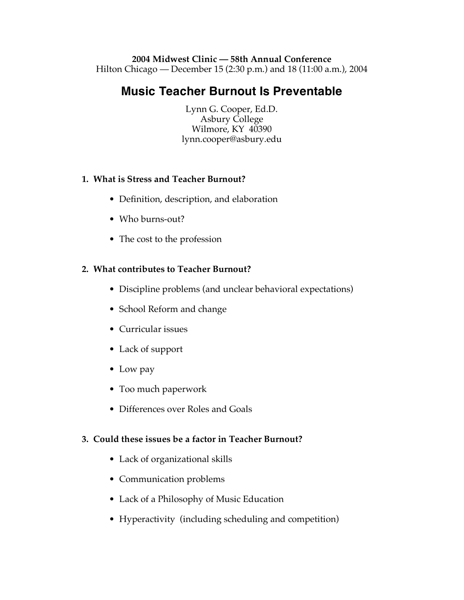#### **2004 Midwest Clinic — 58th Annual Conference** Hilton Chicago — December 15 (2:30 p.m.) and 18 (11:00 a.m.), 2004

# **Music Teacher Burnout Is Preventable**

Lynn G. Cooper, Ed.D. Asbury College Wilmore, KY 40390 lynn.cooper@asbury.edu

## **1. What is Stress and Teacher Burnout?**

- Definition, description, and elaboration
- Who burns-out?
- The cost to the profession

## **2. What contributes to Teacher Burnout?**

- Discipline problems (and unclear behavioral expectations)
- School Reform and change
- Curricular issues
- Lack of support
- Low pay
- Too much paperwork
- Differences over Roles and Goals

## **3. Could these issues be a factor in Teacher Burnout?**

- Lack of organizational skills
- Communication problems
- Lack of a Philosophy of Music Education
- Hyperactivity (including scheduling and competition)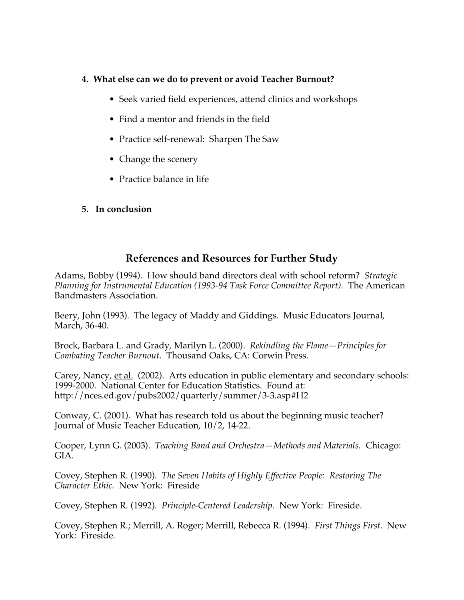#### **4. What else can we do to prevent or avoid Teacher Burnout?**

- Seek varied field experiences, attend clinics and workshops
- Find a mentor and friends in the field
- Practice self-renewal: Sharpen The Saw
- Change the scenery
- Practice balance in life
- **5. In conclusion**

# **References and Resources for Further Study**

Adams, Bobby (1994). How should band directors deal with school reform? *Strategic Planning for Instrumental Education (1993-94 Task Force Committee Report).* The American Bandmasters Association.

Beery, John (1993). The legacy of Maddy and Giddings. Music Educators Journal, March, 36-40.

Brock, Barbara L. and Grady, Marilyn L. (2000). *Rekindling the Flame—Principles for Combating Teacher Burnout.* Thousand Oaks, CA: Corwin Press.

Carey, Nancy, et al. (2002). Arts education in public elementary and secondary schools: 1999-2000. National Center for Education Statistics. Found at: http://nces.ed.gov/pubs2002/quarterly/summer/3-3.asp#H2

Conway, C. (2001). What has research told us about the beginning music teacher? Journal of Music Teacher Education, 10/2, 14-22.

Cooper, Lynn G. (2003). *Teaching Band and Orchestra—Methods and Materials.* Chicago: GIA.

Covey, Stephen R. (1990). *The Seven Habits of Highly Effective People: Restoring The Character Ethic.* New York: Fireside

Covey, Stephen R. (1992). *Principle-Centered Leadership.* New York: Fireside.

Covey, Stephen R.; Merrill, A. Roger; Merrill, Rebecca R. (1994). *First Things First.* New York: Fireside.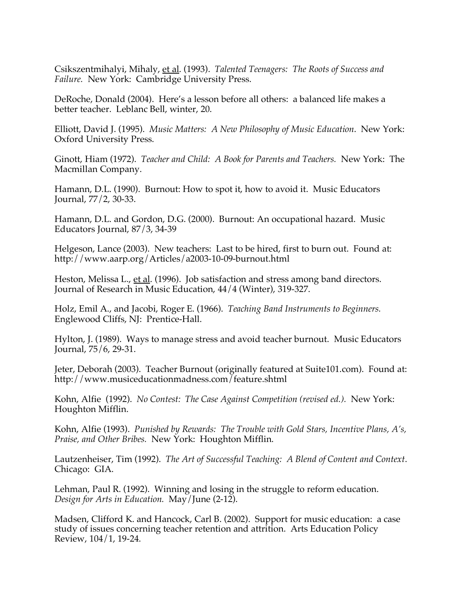Csikszentmihalyi, Mihaly, et al. (1993). *Talented Teenagers: The Roots of Success and Failure.* New York: Cambridge University Press.

DeRoche, Donald (2004). Here's a lesson before all others: a balanced life makes a better teacher. Leblanc Bell, winter, 20.

Elliott, David J. (1995). *Music Matters: A New Philosophy of Music Education*. New York: Oxford University Press.

Ginott, Hiam (1972). *Teacher and Child: A Book for Parents and Teachers.* New York: The Macmillan Company.

Hamann, D.L. (1990). Burnout: How to spot it, how to avoid it. Music Educators Journal, 77/2, 30-33.

Hamann, D.L. and Gordon, D.G. (2000). Burnout: An occupational hazard. Music Educators Journal, 87/3, 34-39

Helgeson, Lance (2003). New teachers: Last to be hired, first to burn out. Found at: http://www.aarp.org/Articles/a2003-10-09-burnout.html

Heston, Melissa L., et al. (1996). Job satisfaction and stress among band directors. Journal of Research in Music Education, 44/4 (Winter), 319-327.

Holz, Emil A., and Jacobi, Roger E. (1966). *Teaching Band Instruments to Beginners.* Englewood Cliffs, NJ: Prentice-Hall.

Hylton, J. (1989). Ways to manage stress and avoid teacher burnout. Music Educators Journal, 75/6, 29-31.

Jeter, Deborah (2003). Teacher Burnout (originally featured at Suite101.com). Found at: http://www.musiceducationmadness.com/feature.shtml

Kohn, Alfie (1992). *No Contest: The Case Against Competition (revised ed.).* New York: Houghton Mifflin.

Kohn, Alfie (1993). *Punished by Rewards: The Trouble with Gold Stars, Incentive Plans, A's, Praise, and Other Bribes.* New York: Houghton Mifflin.

Lautzenheiser, Tim (1992). *The Art of Successful Teaching: A Blend of Content and Context*. Chicago: GIA.

Lehman, Paul R. (1992). Winning and losing in the struggle to reform education. *Design for Arts in Education.* May/June (2-12).

Madsen, Clifford K. and Hancock, Carl B. (2002). Support for music education: a case study of issues concerning teacher retention and attrition. Arts Education Policy Review, 104/1, 19-24.